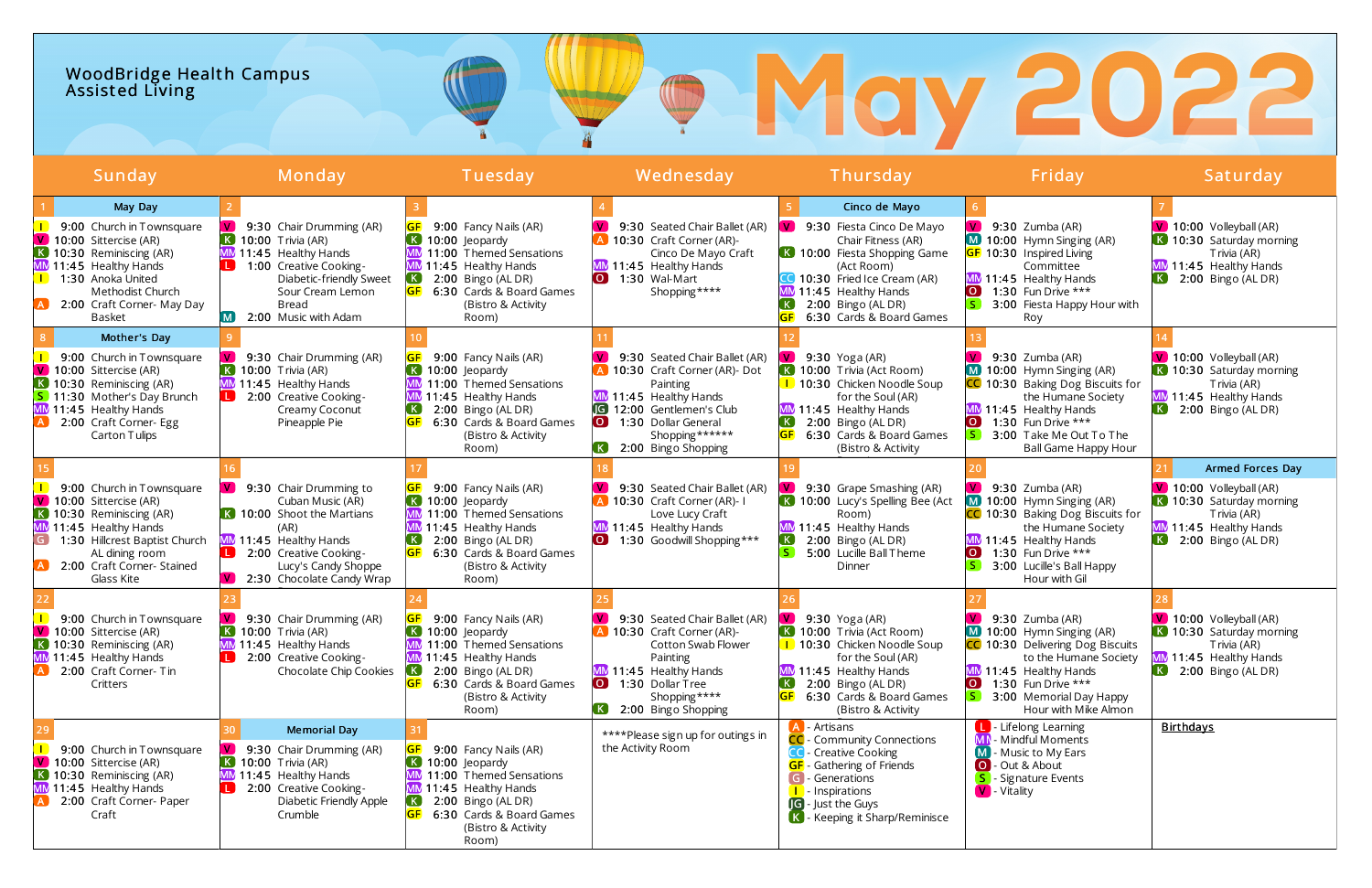## WoodBridge Health Campus Assist ed Living

| Sunday                                                                                                                                                                                                                    | Monday                                                                                                                                                                                                                          | Tuesday                                                                                                                                                                                                  | Wednesday                                                                                                                                                                                                                        | Thursday                                                                                                                                                                                                                                  | Friday                                                                                                                                                                                                                             | Saturday                                                                                                                                                                      |
|---------------------------------------------------------------------------------------------------------------------------------------------------------------------------------------------------------------------------|---------------------------------------------------------------------------------------------------------------------------------------------------------------------------------------------------------------------------------|----------------------------------------------------------------------------------------------------------------------------------------------------------------------------------------------------------|----------------------------------------------------------------------------------------------------------------------------------------------------------------------------------------------------------------------------------|-------------------------------------------------------------------------------------------------------------------------------------------------------------------------------------------------------------------------------------------|------------------------------------------------------------------------------------------------------------------------------------------------------------------------------------------------------------------------------------|-------------------------------------------------------------------------------------------------------------------------------------------------------------------------------|
| May Day<br>9:00 Church in Townsquare<br>V 10:00 Sittercise (AR)<br>K 10:30 Reminiscing (AR)<br>MM 11:45 Healthy Hands<br>1:30 Anoka United<br>Methodist Church<br>2:00 Craft Corner- May Day<br><b>Basket</b>             | <b>V</b><br>9:30 Chair Drumming (AR)<br>$\overline{K}$ 10:00 Trivia (AR)<br>MM 11:45 Healthy Hands<br>1:00 Creative Cooking-<br>Diabetic-friendly Sweet<br>Sour Cream Lemon<br><b>Bread</b><br>2:00 Music with Adam             | 9:00 Fancy Nails (AR)<br>10:00 Jeopardy<br>11:00 Themed Sensations<br>MM 11:45 Healthy Hands<br>2:00 Bingo (AL DR)<br>SF.<br>6:30 Cards & Board Games<br>(Bistro & Activity<br>Room)                     | 9:30 Seated Chair Ballet (AR)<br>A 10:30 Craft Corner (AR)-<br>Cinco De Mayo Craft<br>MM 11:45 Healthy Hands<br>$\overline{\mathbf{o}}$<br>1:30 Wal-Mart<br>Shopping****                                                         | Cinco de Mayo<br>9:30 Fiesta Cinco De Mayo<br>Chair Fitness (AR)<br><b>K</b> 10:00 Fiesta Shopping Game<br>(Act Room)<br><b>CO</b> 10:30 Fried Ice Cream (AR)<br>MM 11:45 Healthy Hands<br>2:00 Bingo (AL DR)<br>6:30 Cards & Board Games | $9:30$ Zumba (AR)<br>M 10:00 Hymn Singing (AR)<br><b>GF</b> 10:30 Inspired Living<br>Committee<br>MM 11:45 Healthy Hands<br>1:30 Fun Drive ***<br>LO.<br>3:00 Fiesta Happy Hour with<br>Roy                                        | V 10:00 Volleyball (AR)<br>K 10:30 Saturday morning<br>Trivia (AR)<br>MM 11:45 Healthy Hands<br>$\vert K \vert$<br>2:00 Bingo (AL DR)                                         |
| Mother's Day<br>9:00 Church in Townsquare<br>V 10:00 Sittercise (AR)<br>K 10:30 Reminiscing (AR)<br>S 11:30 Mother's Day Brunch<br>MM 11:45 Healthy Hands<br>2:00 Craft Corner- Egg<br>Carton Tulips                      | <b>V</b><br>9:30 Chair Drumming (AR)<br>$\overline{K}$ 10:00 Trivia (AR)<br>MM 11:45 Healthy Hands<br><b>L</b> 2:00 Creative Cooking-<br>Creamy Coconut<br>Pineapple Pie                                                        | 9:00 Fancy Nails (AR)<br>10:00 Jeopardy<br>11:00 Themed Sensations<br>11:45 Healthy Hands<br>2:00 Bingo (AL DR)<br>6:30 Cards & Board Games<br>(Bistro & Activity<br>Room)                               | 9:30 Seated Chair Ballet (AR)<br>A 10:30 Craft Corner (AR)- Dot<br>Painting<br>MM 11:45 Healthy Hands<br>12:00 Gentlemen's Club<br>$\overline{O}$ $\overline{O}$<br>1:30 Dollar General<br>Shopping******<br>2:00 Bingo Shopping | $9:30$ Yoga (AR)<br>K 10:00 Trivia (Act Room)<br>1 10:30 Chicken Noodle Soup<br>for the Soul (AR)<br>MM 11:45 Healthy Hands<br>$\left( \mathbf{K}\right)$<br>2:00 Bingo (AL DR)<br>6:30 Cards & Board Games<br>(Bistro & Activity         | 9:30 Zumba (AR)<br>10:00 Hymn Singing (AR)<br>10:30 Baking Dog Biscuits for<br>the Humane Society<br>MM 11:45 Healthy Hands<br>1:30 Fun Drive $***$<br>$\overline{\mathsf{O}}$<br>3:00 Take Me Out To The<br>Ball Game Happy Hour  | $\vee$ 10:00 Volleyball (AR)<br>K 10:30 Saturday morning<br>Trivia (AR)<br>MM 11:45 Healthy Hands<br>$2:00$ Bingo (AL DR)                                                     |
| 9:00 Church in Townsquare<br>V 10:00 Sittercise (AR)<br>K 10:30 Reminiscing (AR)<br>MM 11:45 Healthy Hands<br>$\mathsf{G}$<br>1:30 Hillcrest Baptist Church<br>AL dining room<br>2:00 Craft Corner- Stained<br>Glass Kite | <b>V</b><br>9:30 Chair Drumming to<br>Cuban Music (AR)<br><b>K</b> 10:00 Shoot the Martians<br>(AR)<br>MM 11:45 Healthy Hands<br><b>L</b> 2:00 Creative Cooking-<br>Lucy's Candy Shoppe<br>$\sqrt{ }$ 2:30 Chocolate Candy Wrap | 9:00 Fancy Nails (AR)<br>10:00 Jeopardy<br>$\mathsf{K}$ .<br>11:00 Themed Sensations<br>11:45 Healthy Hands<br>2:00 Bingo (AL DR)<br>6:30 Cards & Board Games<br>(Bistro & Activity<br>Room)             | 9:30 Seated Chair Ballet (AR)<br>A 10:30 Craft Corner (AR)-1<br>Love Lucy Craft<br>MM 11:45 Healthy Hands<br>1:30 Goodwill Shopping ***<br>$\overline{1}$                                                                        | 9:30 Grape Smashing (AR)<br>10:00 Lucy's Spelling Bee (Act<br>Room)<br>MM 11:45 Healthy Hands<br>2:00 Bingo (AL DR)<br>5:00 Lucille Ball Theme<br>Dinner                                                                                  | 9:30 Zumba (AR)<br>10:00 Hymn Singing (AR)<br>M l<br><b>C</b> 10:30 Baking Dog Biscuits for<br>the Humane Society<br>MM 11:45 Healthy Hands<br>1:30 Fun Drive ***<br>LO.<br>3:00 Lucille's Ball Happy<br>Hour with Gil             | Armed Forces Day<br>$\sqrt{ }$ 10:00 Volleyball (AR)<br>K 10:30 Saturday morning<br>Trivia (AR)<br>MM 11:45 Healthy Hands<br>$\left( \mathbf{K}\right)$<br>2:00 Bingo (AL DR) |
| 9:00 Church in Townsquare<br>V.<br>10:00 Sittercise (AR)<br>K 10:30 Reminiscing (AR)<br>MM 11:45 Healthy Hands<br>2:00 Craft Corner- Tin<br>Critters                                                                      | 9:30 Chair Drumming (AR)<br>$\overline{K}$ 10:00 Trivia (AR)<br>MM 11:45 Healthy Hands<br>2:00 Creative Cooking-<br>$\Box$<br>Chocolate Chip Cookies                                                                            | 9:00 Fancy Nails (AR)<br>10:00 Jeopardy<br>11:00 Themed Sensations<br>MM 11:45 Healthy Hands<br>2:00 Bingo (AL DR)<br>6:30 Cards & Board Games<br>(Bistro & Activity<br>Room)                            | 9:30 Seated Chair Ballet (AR)<br>A 10:30 Craft Corner (AR)-<br>Cotton Swab Flower<br>Painting<br>MM 11:45 Healthy Hands<br>0 1:30 Dollar Tree<br>Shopping****<br>2:00 Bingo Shopping                                             | $9:30$ Yoga (AR)<br>K 10:00 Trivia (Act Room)<br>1 10:30 Chicken Noodle Soup<br>for the Soul (AR)<br>MM 11:45 Healthy Hands<br>2:00 Bingo (AL DR)<br>6:30 Cards & Board Games<br>(Bistro & Activity                                       | 9:30 Zumba (AR)<br>10:00 Hymn Singing (AR)<br>10:30 Delivering Dog Biscuits<br>to the Humane Society<br>MM 11:45 Healthy Hands<br>1:30 Fun Drive ***<br>$\overline{\mathsf{O}}$<br>3:00 Memorial Day Happy<br>Hour with Mike Almon | $\sqrt{10:00}$ Volleyball (AR)<br>K 10:30 Saturday morning<br>Trivia (AR)<br>MM 11:45 Healthy Hands<br>$\left( \mathbf{K}\right)$<br>2:00 Bingo (AL DR)                       |
| 9:00 Church in Townsquare<br>$\boxed{\mathsf{V}}$ 10:00 Sittercise (AR)<br>K 10:30 Reminiscing (AR)<br>MM 11:45 Healthy Hands<br>2:00 Craft Corner- Paper<br>Craft                                                        | <b>Memorial Day</b><br>$\mathbf{v}$<br>9:30 Chair Drumming (AR)<br>$\overline{K}$ 10:00 Trivia (AR)<br>MM 11:45 Healthy Hands<br>2:00 Creative Cooking-<br>Diabetic Friendly Apple<br>Crumble                                   | 9:00 Fancy Nails (AR)<br>$\left( \,$ K $\right)$<br>10:00 Jeopardy<br>11:00 Themed Sensations<br>MM 11:45 Healthy Hands<br>2:00 Bingo (AL DR)<br>6:30 Cards & Board Games<br>(Bistro & Activity<br>Room) | ****Please sign up for outings in<br>the Activity Room                                                                                                                                                                           | - Artisans<br><b>CC</b> - Community Connections<br><b>CC</b> - Creative Cooking<br><b>GF</b> - Gathering of Friends<br>G - Generations<br><b>I</b> - Inspirations<br><b>G</b> - Just the Guys<br>K - Keeping it Sharp/Reminisce           | <b>L</b> Lifelong Learning<br>MN Mindful Moments<br><b>M</b> - Music to My Ears<br>O - Out & About<br>S - Signature Events<br>V - Vitality                                                                                         | <b>Birthdays</b>                                                                                                                                                              |

# **P. May 2022**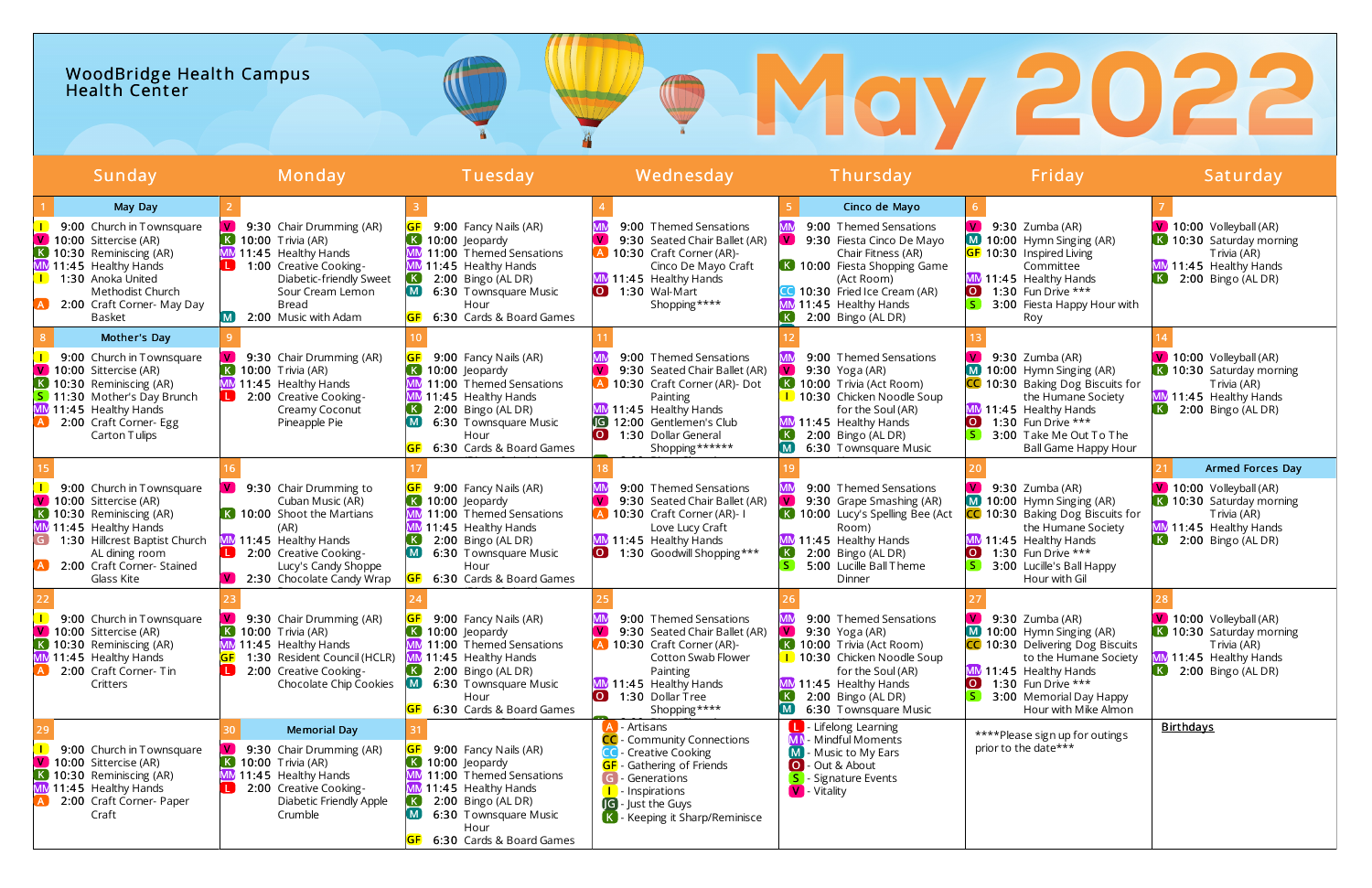## WoodBridge Health Campus Health Center

| Sunday                                                                                                                                                                                                                           | Monday                                                                                                                                                                                                  | Tuesday                                                                                                                                                                                                    | Wednesday                                                                                                                                                                                                                                     | Thursday                                                                                                                                                                                                                                                 | Friday                                                                                                                                                                                                                    | Saturday                                                                                                                                                |
|----------------------------------------------------------------------------------------------------------------------------------------------------------------------------------------------------------------------------------|---------------------------------------------------------------------------------------------------------------------------------------------------------------------------------------------------------|------------------------------------------------------------------------------------------------------------------------------------------------------------------------------------------------------------|-----------------------------------------------------------------------------------------------------------------------------------------------------------------------------------------------------------------------------------------------|----------------------------------------------------------------------------------------------------------------------------------------------------------------------------------------------------------------------------------------------------------|---------------------------------------------------------------------------------------------------------------------------------------------------------------------------------------------------------------------------|---------------------------------------------------------------------------------------------------------------------------------------------------------|
| May Day<br>9:00 Church in Townsquare<br>$\boxed{\mathsf{V}}$ 10:00 Sittercise (AR)<br>K 10:30 Reminiscing (AR)<br>MM 11:45 Healthy Hands<br>1:30 Anoka United<br>Methodist Church<br>2:00 Craft Corner- May Day<br><b>Basket</b> | 9:30 Chair Drumming (AR)<br>$\overline{K}$ 10:00 Trivia (AR)<br>MM 11:45 Healthy Hands<br>1:00 Creative Cooking-<br>Diabetic-friendly Sweet<br>Sour Cream Lemon<br><b>Bread</b><br>2:00 Music with Adam | 9:00 Fancy Nails (AR)<br>10:00 leopardy<br>11:00 Themed Sensations<br>11:45 Healthy Hands<br>2:00 Bingo (AL DR)<br>6:30 Townsquare Music<br>Hour<br>6:30 Cards & Board Games                               | 9:00 Themed Sensations<br>$\mathbf{V}$<br>9:30 Seated Chair Ballet (AR)<br>A 10:30 Craft Corner (AR)-<br>Cinco De Mayo Craft<br>MM 11:45 Healthy Hands<br>$\overline{)}$<br>1:30 Wal-Mart<br>Shopping****                                     | Cinco de Mayo<br>9:00 Themed Sensations<br>$\mathbf{V}$<br>9:30 Fiesta Cinco De Mayo<br>Chair Fitness (AR)<br><b>K</b> 10:00 Fiesta Shopping Game<br>(Act Room)<br>CC 10:30 Fried Ice Cream (AR)<br>MM 11:45 Healthy Hands<br>2:00 Bingo (AL DR)<br>(KJ) | 9:30 Zumba (AR)<br>10:00 Hymn Singing (AR)<br>GF 10:30 Inspired Living<br>Committee<br>MM 11:45 Healthy Hands<br>1:30 Fun Drive ***<br>3:00 Fiesta Happy Hour with<br>Roy                                                 | $\sqrt{10:00}$ Volleyball (AR)<br>K 10:30 Saturday morning<br>Trivia (AR)<br>MM 11:45 Healthy Hands<br>$\vert K \vert$<br>$2:00$ Bingo (AL DR)          |
| Mother's Day<br>9:00 Church in Townsquare<br>V 10:00 Sittercise (AR)<br>$\bf{K}$ 10:30 Reminiscing (AR)<br>S 11:30 Mother's Day Brunch<br>MM 11:45 Healthy Hands<br>2:00 Craft Corner- Egg<br>Carton Tulips                      | 9:30 Chair Drumming (AR)<br>$\overline{K}$ 10:00 Trivia (AR)<br>MM 11:45 Healthy Hands<br>2:00 Creative Cooking-<br>Creamy Coconut<br>Pineapple Pie                                                     | 9:00 Fancy Nails (AR)<br>10:00 Jeopardy<br>11:00 Themed Sensations<br>11:45 Healthy Hands<br>2:00 Bingo (AL DR)<br>6:30 Townsquare Music<br>Hour<br>6:30 Cards & Board Games                               | 9:00 Themed Sensations<br>$\mathbf{V}$<br>9:30 Seated Chair Ballet (AR)<br>A 10:30 Craft Corner (AR)- Dot<br>Painting<br>MM 11:45 Healthy Hands<br><b>G</b> 12:00 Gentlemen's Club<br>$\overline{)}$<br>1:30 Dollar General<br>Shopping****** | 9:00 Themed Sensations<br>$9:30$ Yoga (AR)<br>K 10:00 Trivia (Act Room)<br>1 10:30 Chicken Noodle Soup<br>for the Soul (AR)<br>MM 11:45 Healthy Hands<br>2:00 Bingo (AL DR)<br>6:30 Townsquare Music                                                     | 9:30 Zumba (AR)<br>10:00 Hymn Singing (AR)<br>10:30 Baking Dog Biscuits for<br>the Humane Society<br>MM 11:45 Healthy Hands<br>1:30 Fun Drive ***<br>$\overline{O}$ .<br>3:00 Take Me Out To The<br>Ball Game Happy Hour  | V 10:00 Volleyball (AR)<br>K 10:30 Saturday morning<br>Trivia (AR)<br>MM 11:45 Healthy Hands<br>2:00 Bingo (AL DR)                                      |
| 9:00 Church in Townsquare<br>$\sqrt{ }$ 10:00 Sittercise (AR)<br>K 10:30 Reminiscing (AR)<br>MM 11:45 Healthy Hands<br>1:30 Hillcrest Baptist Church<br>AL dining room<br>2:00 Craft Corner- Stained<br>Glass Kite               | 9:30 Chair Drumming to<br>Cuban Music (AR)<br><b>K</b> 10:00 Shoot the Martians<br>(AR)<br>MM 11:45 Healthy Hands<br>2:00 Creative Cooking-<br>Lucy's Candy Shoppe<br>2:30 Chocolate Candy Wrap         | 9:00 Fancy Nails (AR)<br>10:00 Jeopardy<br>. K .<br>11:00 Themed Sensations<br>11:45 Healthy Hands<br>2:00 Bingo (AL DR)<br>6:30 Townsquare Music<br>Hour<br>6:30 Cards & Board Games                      | 9:00 Themed Sensations<br>$\mathbf{V}$<br>9:30 Seated Chair Ballet (AR)<br>A 10:30 Craft Corner (AR)-1<br>Love Lucy Craft<br>MM 11:45 Healthy Hands<br>1:30 Goodwill Shopping ***<br>LO J                                                     | 9:00 Themed Sensations<br>$\mathbf{V}$<br>9:30 Grape Smashing (AR)<br>K 10:00 Lucy's Spelling Bee (Act<br>Room)<br>MM 11:45 Healthy Hands<br>2:00 Bingo (AL DR)<br>IS.<br>5:00 Lucille Ball Theme<br>Dinner                                              | $9:30$ Zumba (AR)<br>10:00 Hymn Singing (AR)<br>C 10:30 Baking Dog Biscuits for<br>the Humane Society<br>11:45 Healthy Hands<br>1:30 Fun Drive ***<br>3:00 Lucille's Ball Happy<br>Hour with Gil                          | Armed Forces Day<br>$\sqrt{ }$ 10:00 Volleyball (AR)<br>K 10:30 Saturday morning<br>Trivia (AR)<br>MM 11:45 Healthy Hands<br>2:00 Bingo (AL DR)         |
| 9:00 Church in Townsquare<br>V 10:00 Sittercise (AR)<br>K 10:30 Reminiscing (AR)<br>MM 11:45 Healthy Hands<br>2:00 Craft Corner- Tin<br>Critters                                                                                 | 9:30 Chair Drumming (AR)<br>$\overline{K}$ 10:00 Trivia (AR)<br>MM 11:45 Healthy Hands<br>1:30 Resident Council (HCLR)<br>GF<br>2:00 Creative Cooking-<br>Chocolate Chip Cookies                        | 9:00 Fancy Nails (AR)<br>10:00 Jeopardy<br>11:00 Themed Sensations<br>MM 11:45 Healthy Hands<br>2:00 Bingo (AL DR)<br>6:30 Townsquare Music<br>Hour<br>6:30 Cards & Board Games                            | 9:00 Themed Sensations<br>$\mathsf{V}$<br>9:30 Seated Chair Ballet (AR)<br>A 10:30 Craft Corner (AR)-<br><b>Cotton Swab Flower</b><br>Painting<br>MM 11:45 Healthy Hands<br>0 1:30 Dollar Tree<br>Shopping ****                               | 9:00 Themed Sensations<br>9:30 Yoga (AR)<br>K 10:00 Trivia (Act Room)<br>1 10:30 Chicken Noodle Soup<br>for the Soul (AR)<br>MM 11:45 Healthy Hands<br>$\left( \mathbf{K}\right)$<br>2:00 Bingo (AL DR)<br>(M)<br>6:30 Townsquare Music                  | 9:30 Zumba (AR)<br>10:00 Hymn Singing (AR)<br>10:30 Delivering Dog Biscuits<br>to the Humane Society<br>MM 11:45 Healthy Hands<br>1:30 Fun Drive ***<br>$\overline{O}$<br>3:00 Memorial Day Happy<br>Hour with Mike Almon | $\sqrt{10:00}$ Volleyball (AR)<br>K 10:30 Saturday morning<br>Trivia (AR)<br>MM 11:45 Healthy Hands<br>$\left( \mathbf{K}\right)$<br>2:00 Bingo (AL DR) |
| 9:00 Church in Townsquare<br>V 10:00 Sittercise (AR)<br>K 10:30 Reminiscing (AR)<br>MM 11:45 Healthy Hands<br>2:00 Craft Corner- Paper<br>Craft                                                                                  | <b>Memorial Day</b><br><b>V</b><br>9:30 Chair Drumming (AR)<br>$\overline{K}$ 10:00 Trivia (AR)<br>MM 11:45 Healthy Hands<br>2:00 Creative Cooking-<br>Diabetic Friendly Apple<br>Crumble               | 9:00 Fancy Nails (AR)<br>$\left( \,$ K $\right)$<br>10:00 Jeopardy<br>11:00 Themed Sensations<br>MM 11:45 Healthy Hands<br>2:00 Bingo (AL DR)<br>6:30 Townsquare Music<br>Hour<br>6:30 Cards & Board Games | - Artisans<br>CC - Community Connections<br><b>CC</b> - Creative Cooking<br><b>GF</b> - Gathering of Friends<br>G - Generations<br><b>I</b> - Inspirations<br><b>G</b> - Just the Guys<br>K - Keeping it Sharp/Reminisce                      | - Lifelong Learning<br>Mindful Moments<br>- Music to My Ears<br>O - Out & About<br>- Signature Events<br>V - Vitality                                                                                                                                    | ****Please sign up for outings<br>prior to the date***                                                                                                                                                                    | <b>Birthdays</b>                                                                                                                                        |

# **P. May 2022**